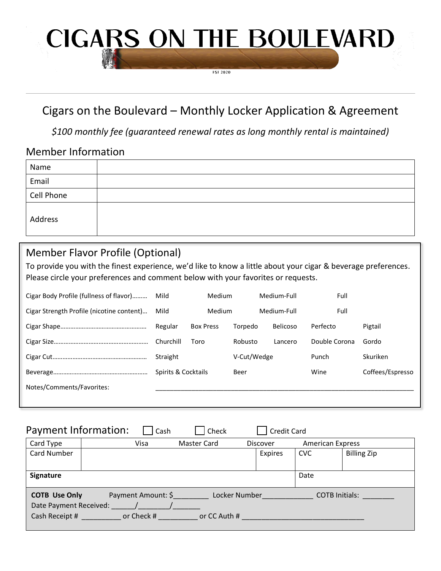# **CIGARS ON THE BOULEVARD**

**FST 2020** 

## Cigars on the Boulevard – Monthly Locker Application & Agreement

*\$100 monthly fee (guaranteed renewal rates as long monthly rental is maintained)*

### Member Information

| Name       |  |
|------------|--|
| Email      |  |
| Cell Phone |  |
| Address    |  |

## Member Flavor Profile (Optional)

To provide you with the finest experience, we'd like to know a little about your cigar & beverage preferences. Please circle your preferences and comment below with your favorites or requests.

| Cigar Body Profile (fullness of flavor)   | <b>Medium</b><br>Mild |                  | Medium-Full |                 | Full          |                  |
|-------------------------------------------|-----------------------|------------------|-------------|-----------------|---------------|------------------|
| Cigar Strength Profile (nicotine content) | Mild<br><b>Medium</b> |                  | Medium-Full |                 | Full          |                  |
|                                           | Regular               | <b>Box Press</b> | Torpedo     | <b>Belicoso</b> | Perfecto      | Pigtail          |
|                                           | Churchill             | Toro             | Robusto     | Lancero         | Double Corona | Gordo            |
|                                           | Straight              |                  | V-Cut/Wedge |                 | Punch         | Skuriken         |
|                                           | Spirits & Cocktails   |                  | Beer        |                 | Wine          | Coffees/Espresso |
| Notes/Comments/Favorites:                 |                       |                  |             |                 |               |                  |
|                                           |                       |                  |             |                 |               |                  |

| Payment Information:                                                       | l Cash                           | Check                         | <b>Credit Card</b> |                         |                       |
|----------------------------------------------------------------------------|----------------------------------|-------------------------------|--------------------|-------------------------|-----------------------|
| Card Type                                                                  | Visa                             | Master Card                   | <b>Discover</b>    | <b>American Express</b> |                       |
| Card Number                                                                |                                  |                               | <b>Expires</b>     | <b>CVC</b>              | <b>Billing Zip</b>    |
|                                                                            |                                  |                               |                    |                         |                       |
| Signature                                                                  |                                  |                               |                    | Date                    |                       |
| <b>COTB Use Only</b><br>Date Payment Received:<br>Cash Receipt # 2009 1000 | Payment Amount: \$<br>or Check # | Locker Number<br>or CC Auth # |                    |                         | <b>COTB Initials:</b> |